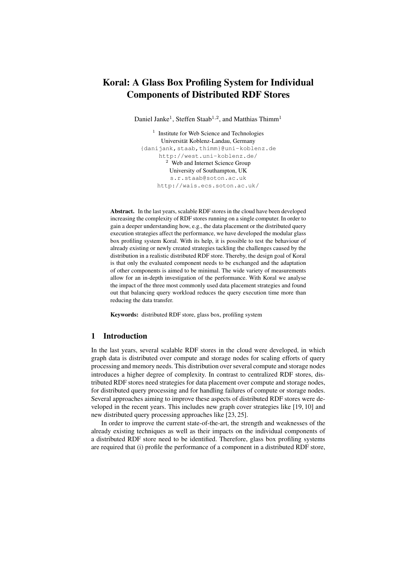# Koral: A Glass Box Profiling System for Individual Components of Distributed RDF Stores

Daniel Janke<sup>1</sup>, Steffen Staab<sup>1,2</sup>, and Matthias Thimm<sup>1</sup>

<sup>1</sup> Institute for Web Science and Technologies Universität Koblenz-Landau, Germany {danijank,staab,thimm}@uni-koblenz.de http://west.uni-koblenz.de/ Web and Internet Science Group University of Southampton, UK s.r.staab@soton.ac.uk http://wais.ecs.soton.ac.uk/

Abstract. In the last years, scalable RDF stores in the cloud have been developed increasing the complexity of RDF stores running on a single computer. In order to gain a deeper understanding how, e.g., the data placement or the distributed query execution strategies affect the performance, we have developed the modular glass box profiling system Koral. With its help, it is possible to test the behaviour of already existing or newly created strategies tackling the challenges caused by the distribution in a realistic distributed RDF store. Thereby, the design goal of Koral is that only the evaluated component needs to be exchanged and the adaptation of other components is aimed to be minimal. The wide variety of measurements allow for an in-depth investigation of the performance. With Koral we analyse the impact of the three most commonly used data placement strategies and found out that balancing query workload reduces the query execution time more than reducing the data transfer.

Keywords: distributed RDF store, glass box, profiling system

# 1 Introduction

In the last years, several scalable RDF stores in the cloud were developed, in which graph data is distributed over compute and storage nodes for scaling efforts of query processing and memory needs. This distribution over several compute and storage nodes introduces a higher degree of complexity. In contrast to centralized RDF stores, distributed RDF stores need strategies for data placement over compute and storage nodes, for distributed query processing and for handling failures of compute or storage nodes. Several approaches aiming to improve these aspects of distributed RDF stores were developed in the recent years. This includes new graph cover strategies like [19, 10] and new distributed query processing approaches like [23, 25].

In order to improve the current state-of-the-art, the strength and weaknesses of the already existing techniques as well as their impacts on the individual components of a distributed RDF store need to be identified. Therefore, glass box profiling systems are required that (i) profile the performance of a component in a distributed RDF store,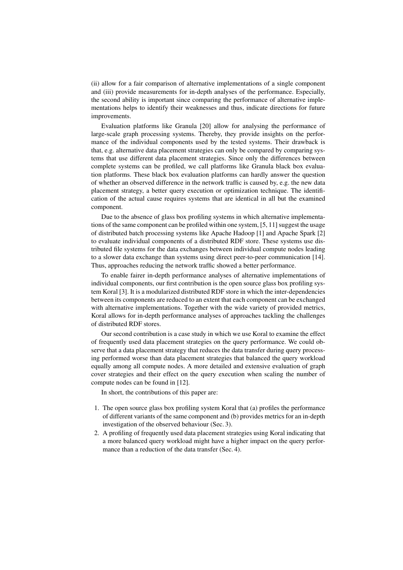(ii) allow for a fair comparison of alternative implementations of a single component and (iii) provide measurements for in-depth analyses of the performance. Especially, the second ability is important since comparing the performance of alternative implementations helps to identify their weaknesses and thus, indicate directions for future improvements.

Evaluation platforms like Granula [20] allow for analysing the performance of large-scale graph processing systems. Thereby, they provide insights on the performance of the individual components used by the tested systems. Their drawback is that, e.g. alternative data placement strategies can only be compared by comparing systems that use different data placement strategies. Since only the differences between complete systems can be profiled, we call platforms like Granula black box evaluation platforms. These black box evaluation platforms can hardly answer the question of whether an observed difference in the network traffic is caused by, e.g. the new data placement strategy, a better query execution or optimization technique. The identification of the actual cause requires systems that are identical in all but the examined component.

Due to the absence of glass box profiling systems in which alternative implementations of the same component can be profiled within one system, [5, 11] suggest the usage of distributed batch processing systems like Apache Hadoop [1] and Apache Spark [2] to evaluate individual components of a distributed RDF store. These systems use distributed file systems for the data exchanges between individual compute nodes leading to a slower data exchange than systems using direct peer-to-peer communication [14]. Thus, approaches reducing the network traffic showed a better performance.

To enable fairer in-depth performance analyses of alternative implementations of individual components, our first contribution is the open source glass box profiling system Koral [3]. It is a modularized distributed RDF store in which the inter-dependencies between its components are reduced to an extent that each component can be exchanged with alternative implementations. Together with the wide variety of provided metrics, Koral allows for in-depth performance analyses of approaches tackling the challenges of distributed RDF stores.

Our second contribution is a case study in which we use Koral to examine the effect of frequently used data placement strategies on the query performance. We could observe that a data placement strategy that reduces the data transfer during query processing performed worse than data placement strategies that balanced the query workload equally among all compute nodes. A more detailed and extensive evaluation of graph cover strategies and their effect on the query execution when scaling the number of compute nodes can be found in [12].

In short, the contributions of this paper are:

- 1. The open source glass box profiling system Koral that (a) profiles the performance of different variants of the same component and (b) provides metrics for an in-depth investigation of the observed behaviour (Sec. 3).
- 2. A profiling of frequently used data placement strategies using Koral indicating that a more balanced query workload might have a higher impact on the query performance than a reduction of the data transfer (Sec. 4).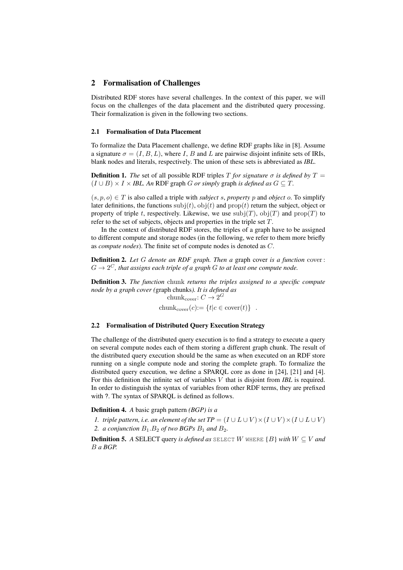## 2 Formalisation of Challenges

Distributed RDF stores have several challenges. In the context of this paper, we will focus on the challenges of the data placement and the distributed query processing. Their formalization is given in the following two sections.

# 2.1 Formalisation of Data Placement

To formalize the Data Placement challenge, we define RDF graphs like in [8]. Assume a signature  $\sigma = (I, B, L)$ , where I, B and L are pairwise disjoint infinite sets of IRIs, blank nodes and literals, respectively. The union of these sets is abbreviated as *IBL*.

**Definition 1.** *The* set of all possible RDF triples T *for signature*  $\sigma$  *is defined by*  $T =$  $(I \cup B) \times I \times IBL$ . An RDF graph *G* or simply graph is defined as  $G \subseteq T$ .

 $(s, p, o) \in T$  is also called a triple with *subject* s, *property* p and *object* o. To simplify later definitions, the functions  $\text{sub}(t)$ ,  $\text{obj}(t)$  and  $\text{prop}(t)$  return the subject, object or property of triple t, respectively. Likewise, we use  $\text{subj}(T)$ ,  $\text{obj}(T)$  and  $\text{prop}(T)$  to refer to the set of subjects, objects and properties in the triple set T.

In the context of distributed RDF stores, the triples of a graph have to be assigned to different compute and storage nodes (in the following, we refer to them more briefly as *compute nodes*). The finite set of compute nodes is denoted as C.

Definition 2. *Let* G *denote an RDF graph. Then a* graph cover *is a function* cover :  $G\rightarrow 2^C$ , that assigns each triple of a graph  $G$  to at least one compute node.

Definition 3. *The function* chunk *returns the triples assigned to a specific compute node by a graph cover (*graph chunks*). It is defined as*

chunk<sub>cover</sub>:  $C \rightarrow 2^G$ chunk<sub>cover</sub> $(c):=\{t|c \in \text{cover}(t)\}\;$ .

#### 2.2 Formalisation of Distributed Query Execution Strategy

The challenge of the distributed query execution is to find a strategy to execute a query on several compute nodes each of them storing a different graph chunk. The result of the distributed query execution should be the same as when executed on an RDF store running on a single compute node and storing the complete graph. To formalize the distributed query execution, we define a SPARQL core as done in [24], [21] and [4]. For this definition the infinite set of variables V that is disjoint from *IBL* is required. In order to distinguish the syntax of variables from other RDF terms, they are prefixed with ?. The syntax of SPARQL is defined as follows.

Definition 4. *A* basic graph pattern *(BGP) is a*

*1. triple pattern, i.e. an element of the set TP* =  $(I \cup L \cup V) \times (I \cup V) \times (I \cup L \cup V)$ 2. *a conjunction*  $B_1.B_2$  *of two BGPs*  $B_1$  *and*  $B_2$ *.* 

**Definition 5.** *A* SELECT query *is defined as* SELECT W WHERE  $\{B\}$  *with*  $W \subseteq V$  *and* B *a BGP.*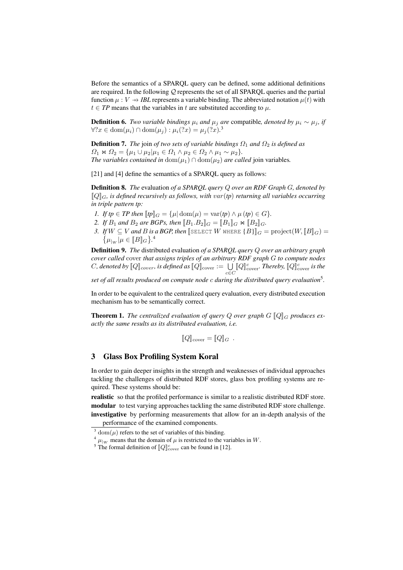Before the semantics of a SPARQL query can be defined, some additional definitions are required. In the following Q represents the set of all SPARQL queries and the partial function  $\mu : V \rightarrow IBL$  represents a variable binding. The abbreviated notation  $\mu(t)$  with  $t \in TP$  means that the variables in t are substituted according to  $\mu$ .

**Definition 6.** *Two variable bindings*  $\mu_i$  *and*  $\mu_j$  *are* compatible, *denoted by*  $\mu_i \sim \mu_j$ , *if*  $\forall$  ?  $x \in \text{dom}(\mu_i) \cap \text{dom}(\mu_j) : \mu_i$  (?x) =  $\mu_j$  (?x).<sup>3</sup>

**Definition 7.** *The* join *of two sets of variable bindings*  $\Omega_1$  *and*  $\Omega_2$  *is defined as*  $\Omega_1 \Join \Omega_2 = {\mu_1 \cup \mu_2 | \mu_1 \in \Omega_1 \land \mu_2 \in \Omega_2 \land \mu_1 \sim \mu_2}.$ *The variables contained in*  $dom(\mu_1) \cap dom(\mu_2)$  *are called* join variables.

[21] and [4] define the semantics of a SPARQL query as follows:

Definition 8. *The* evaluation *of a SPARQL query* Q *over an RDF Graph* G*, denoted by*  $\llbracket Q \rrbracket_G$ *, is defined recursively as follows, with var(tp) returning all variables occurring in triple pattern tp:*

- *1. If tp*  $\in$  *TP then*  $[$ *tp* $]$  $G$  = { $\mu$  $]$  dom $(\mu)$  = var(*tp*)  $\wedge$   $\mu$  (*tp*)  $\in$  *G*}*.*
- 2. *If*  $B_1$  *and*  $B_2$  *are BGPs, then*  $[[B_1.B_2]]_G = [[B_1]]_G \bowtie [[B_2]]_G$ *.*
- *3. If*  $W \subseteq V$  *and*  $B$  *is a BGP, then* [SELECT  $W$  WHERE  $\{B\}$ ]<sub>*G*</sub> = project $(W,$  [ $B$ ]<sub>*G*</sub> $)$  =  $\{\mu_{|W}|\mu \in [\![B]\!]_G\}$ .<sup>4</sup>

Definition 9. *The* distributed evaluation *of a SPARQL query* Q *over an arbitrary graph cover called* cover *that assigns triples of an arbitrary RDF graph* G *to compute nodes*  $C$ , denoted by  $[\![Q]\!]_{cover}$  is defined as  $[\![Q]\!]_{cover} := \bigcup_{c \in C} [\![Q]\!]_{cover}^c$ . Thereby,  $[\![Q]\!]_{cover}^c$  is the

*set of all results produced on compute node* c *during the distributed query evaluation*<sup>5</sup> *.*

In order to be equivalent to the centralized query evaluation, every distributed execution mechanism has to be semantically correct.

**Theorem 1.** The centralized evaluation of query Q over graph  $G$   $[Q]_G$  produces ex*actly the same results as its distributed evaluation, i.e.*

$$
[\![Q]\!]_{\text{cover}} = [\![Q]\!]_G .
$$

## 3 Glass Box Profiling System Koral

In order to gain deeper insights in the strength and weaknesses of individual approaches tackling the challenges of distributed RDF stores, glass box profiling systems are required. These systems should be:

realistic so that the profiled performance is similar to a realistic distributed RDF store. modular to test varying approaches tackling the same distributed RDF store challenge. investigative by performing measurements that allow for an in-depth analysis of the performance of the examined components.

 $3$  dom( $\mu$ ) refers to the set of variables of this binding.

 $^{4}$   $\mu$ <sub>lw</sub> means that the domain of  $\mu$  is restricted to the variables in W.

<sup>&</sup>lt;sup>5</sup> The formal definition of  $\llbracket Q \rrbracket_{\text{cover}}^c$  can be found in [12].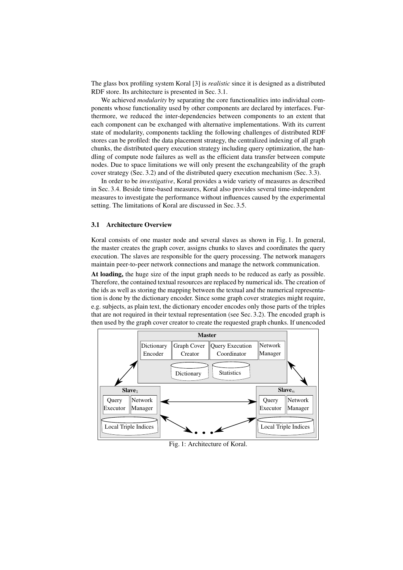The glass box profiling system Koral [3] is *realistic* since it is designed as a distributed RDF store. Its architecture is presented in Sec. 3.1.

We achieved *modularity* by separating the core functionalities into individual components whose functionality used by other components are declared by interfaces. Furthermore, we reduced the inter-dependencies between components to an extent that each component can be exchanged with alternative implementations. With its current state of modularity, components tackling the following challenges of distributed RDF stores can be profiled: the data placement strategy, the centralized indexing of all graph chunks, the distributed query execution strategy including query optimization, the handling of compute node failures as well as the efficient data transfer between compute nodes. Due to space limitations we will only present the exchangeability of the graph cover strategy (Sec. 3.2) and of the distributed query execution mechanism (Sec. 3.3).

In order to be *investigative*, Koral provides a wide variety of measures as described in Sec. 3.4. Beside time-based measures, Koral also provides several time-independent measures to investigate the performance without influences caused by the experimental setting. The limitations of Koral are discussed in Sec. 3.5.

#### 3.1 Architecture Overview

Koral consists of one master node and several slaves as shown in Fig. 1. In general, the master creates the graph cover, assigns chunks to slaves and coordinates the query execution. The slaves are responsible for the query processing. The network managers maintain peer-to-peer network connections and manage the network communication.

At loading, the huge size of the input graph needs to be reduced as early as possible. Therefore, the contained textual resources are replaced by numerical ids. The creation of the ids as well as storing the mapping between the textual and the numerical representation is done by the dictionary encoder. Since some graph cover strategies might require, e.g. subjects, as plain text, the dictionary encoder encodes only those parts of the triples that are not required in their textual representation (see Sec. 3.2). The encoded graph is then used by the graph cover creator to create the requested graph chunks. If unencoded



Fig. 1: Architecture of Koral.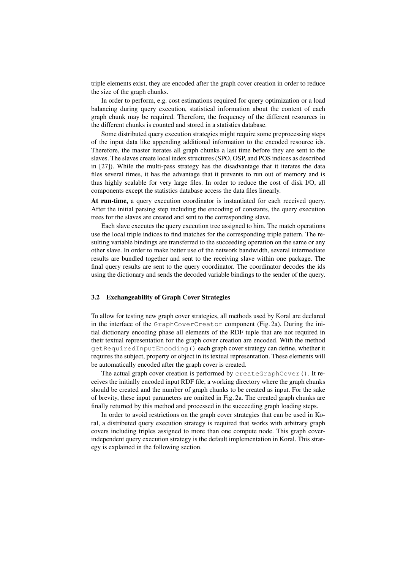triple elements exist, they are encoded after the graph cover creation in order to reduce the size of the graph chunks.

In order to perform, e.g. cost estimations required for query optimization or a load balancing during query execution, statistical information about the content of each graph chunk may be required. Therefore, the frequency of the different resources in the different chunks is counted and stored in a statistics database.

Some distributed query execution strategies might require some preprocessing steps of the input data like appending additional information to the encoded resource ids. Therefore, the master iterates all graph chunks a last time before they are sent to the slaves. The slaves create local index structures (SPO, OSP, and POS indices as described in [27]). While the multi-pass strategy has the disadvantage that it iterates the data files several times, it has the advantage that it prevents to run out of memory and is thus highly scalable for very large files. In order to reduce the cost of disk I/O, all components except the statistics database access the data files linearly.

At run-time, a query execution coordinator is instantiated for each received query. After the initial parsing step including the encoding of constants, the query execution trees for the slaves are created and sent to the corresponding slave.

Each slave executes the query execution tree assigned to him. The match operations use the local triple indices to find matches for the corresponding triple pattern. The resulting variable bindings are transferred to the succeeding operation on the same or any other slave. In order to make better use of the network bandwidth, several intermediate results are bundled together and sent to the receiving slave within one package. The final query results are sent to the query coordinator. The coordinator decodes the ids using the dictionary and sends the decoded variable bindings to the sender of the query.

## 3.2 Exchangeability of Graph Cover Strategies

To allow for testing new graph cover strategies, all methods used by Koral are declared in the interface of the GraphCoverCreator component (Fig. 2a). During the initial dictionary encoding phase all elements of the RDF tuple that are not required in their textual representation for the graph cover creation are encoded. With the method getRequiredInputEncoding() each graph cover strategy can define, whether it requires the subject, property or object in its textual representation. These elements will be automatically encoded after the graph cover is created.

The actual graph cover creation is performed by createGraphCover(). It receives the initially encoded input RDF file, a working directory where the graph chunks should be created and the number of graph chunks to be created as input. For the sake of brevity, these input parameters are omitted in Fig. 2a. The created graph chunks are finally returned by this method and processed in the succeeding graph loading steps.

In order to avoid restrictions on the graph cover strategies that can be used in Koral, a distributed query execution strategy is required that works with arbitrary graph covers including triples assigned to more than one compute node. This graph coverindependent query execution strategy is the default implementation in Koral. This strategy is explained in the following section.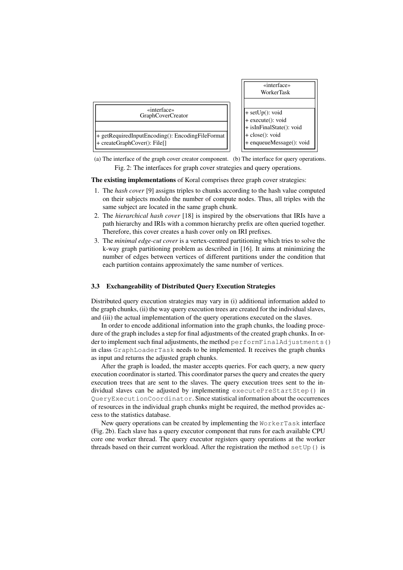

(a) The interface of the graph cover creator component. (b) The interface for query operations. Fig. 2: The interfaces for graph cover strategies and query operations.

The existing implementations of Koral comprises three graph cover strategies:

- 1. The *hash cover* [9] assigns triples to chunks according to the hash value computed on their subjects modulo the number of compute nodes. Thus, all triples with the same subject are located in the same graph chunk.
- 2. The *hierarchical hash cover* [18] is inspired by the observations that IRIs have a path hierarchy and IRIs with a common hierarchy prefix are often queried together. Therefore, this cover creates a hash cover only on IRI prefixes.
- 3. The *minimal edge-cut cover* is a vertex-centred partitioning which tries to solve the k-way graph partitioning problem as described in [16]. It aims at minimizing the number of edges between vertices of different partitions under the condition that each partition contains approximately the same number of vertices.

#### 3.3 Exchangeability of Distributed Query Execution Strategies

Distributed query execution strategies may vary in (i) additional information added to the graph chunks, (ii) the way query execution trees are created for the individual slaves, and (iii) the actual implementation of the query operations executed on the slaves.

In order to encode additional information into the graph chunks, the loading procedure of the graph includes a step for final adjustments of the created graph chunks. In order to implement such final adjustments, the method performFinalAdjustments() in class GraphLoaderTask needs to be implemented. It receives the graph chunks as input and returns the adjusted graph chunks.

After the graph is loaded, the master accepts queries. For each query, a new query execution coordinator is started. This coordinator parses the query and creates the query execution trees that are sent to the slaves. The query execution trees sent to the individual slaves can be adjusted by implementing executePreStartStep() in QueryExecutionCoordinator. Since statistical information about the occurrences of resources in the individual graph chunks might be required, the method provides access to the statistics database.

New query operations can be created by implementing the WorkerTask interface (Fig. 2b). Each slave has a query executor component that runs for each available CPU core one worker thread. The query executor registers query operations at the worker threads based on their current workload. After the registration the method setUp() is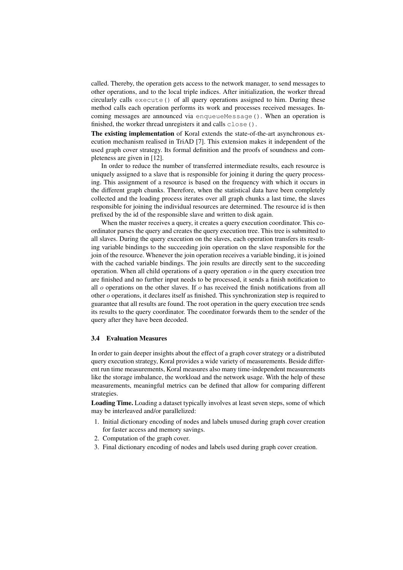called. Thereby, the operation gets access to the network manager, to send messages to other operations, and to the local triple indices. After initialization, the worker thread circularly calls execute() of all query operations assigned to him. During these method calls each operation performs its work and processes received messages. Incoming messages are announced via enqueueMessage(). When an operation is finished, the worker thread unregisters it and calls close ().

The existing implementation of Koral extends the state-of-the-art asynchronous execution mechanism realised in TriAD [7]. This extension makes it independent of the used graph cover strategy. Its formal definition and the proofs of soundness and completeness are given in [12].

In order to reduce the number of transferred intermediate results, each resource is uniquely assigned to a slave that is responsible for joining it during the query processing. This assignment of a resource is based on the frequency with which it occurs in the different graph chunks. Therefore, when the statistical data have been completely collected and the loading process iterates over all graph chunks a last time, the slaves responsible for joining the individual resources are determined. The resource id is then prefixed by the id of the responsible slave and written to disk again.

When the master receives a query, it creates a query execution coordinator. This coordinator parses the query and creates the query execution tree. This tree is submitted to all slaves. During the query execution on the slaves, each operation transfers its resulting variable bindings to the succeeding join operation on the slave responsible for the join of the resource. Whenever the join operation receives a variable binding, it is joined with the cached variable bindings. The join results are directly sent to the succeeding operation. When all child operations of a query operation  $\sigma$  in the query execution tree are finished and no further input needs to be processed, it sends a finish notification to all  $o$  operations on the other slaves. If  $o$  has received the finish notifications from all other o operations, it declares itself as finished. This synchronization step is required to guarantee that all results are found. The root operation in the query execution tree sends its results to the query coordinator. The coordinator forwards them to the sender of the query after they have been decoded.

# 3.4 Evaluation Measures

In order to gain deeper insights about the effect of a graph cover strategy or a distributed query execution strategy, Koral provides a wide variety of measurements. Beside different run time measurements, Koral measures also many time-independent measurements like the storage imbalance, the workload and the network usage. With the help of these measurements, meaningful metrics can be defined that allow for comparing different strategies.

Loading Time. Loading a dataset typically involves at least seven steps, some of which may be interleaved and/or parallelized:

- 1. Initial dictionary encoding of nodes and labels unused during graph cover creation for faster access and memory savings.
- 2. Computation of the graph cover.
- 3. Final dictionary encoding of nodes and labels used during graph cover creation.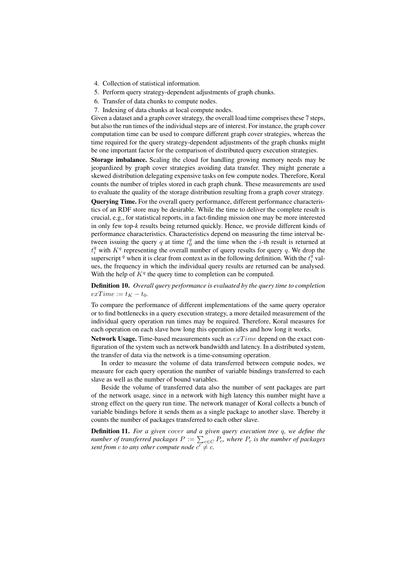- 4. Collection of statistical information.
- 5. Perform query strategy-dependent adjustments of graph chunks.
- 6. Transfer of data chunks to compute nodes.
- 7. Indexing of data chunks at local compute nodes.

Given a dataset and a graph cover strategy, the overall load time comprises these 7 steps, but also the run times of the individual steps are of interest. For instance, the graph cover computation time can be used to compare different graph cover strategies, whereas the time required for the query strategy-dependent adjustments of the graph chunks might be one important factor for the comparison of distributed query execution strategies.

Storage imbalance. Scaling the cloud for handling growing memory needs may be jeopardized by graph cover strategies avoiding data transfer. They might generate a skewed distribution delegating expensive tasks on few compute nodes. Therefore, Koral counts the number of triples stored in each graph chunk. These measurements are used to evaluate the quality of the storage distribution resulting from a graph cover strategy. Querying Time. For the overall query performance, different performance characteristics of an RDF store may be desirable. While the time to deliver the complete result is crucial, e.g., for statistical reports, in a fact-finding mission one may be more interested in only few top-*k* results being returned quickly. Hence, we provide different kinds of performance characteristics. Characteristics depend on measuring the time interval between issuing the query q at time  $t_0^q$  and the time when the *i*-th result is returned at  $t_i^q$  with  $K^q$  representing the overall number of query results for query q. We drop the superscript <sup>q</sup> when it is clear from context as in the following definition. With the  $t_i^{\bar{q}}$  values, the frequency in which the individual query results are returned can be analysed. With the help of  $K<sup>q</sup>$  the query time to completion can be computed.

Definition 10. *Overall query performance is evaluated by the query time to completion*  $exTime := t_K - t_0.$ 

To compare the performance of different implementations of the same query operator or to find bottlenecks in a query execution strategy, a more detailed measurement of the individual query operation run times may be required. Therefore, Koral measures for each operation on each slave how long this operation idles and how long it works.

Network Usage. Time-based measurements such as  $exTime$  depend on the exact configuration of the system such as network bandwidth and latency. In a distributed system, the transfer of data via the network is a time-consuming operation.

In order to measure the volume of data transferred between compute nodes, we measure for each query operation the number of variable bindings transferred to each slave as well as the number of bound variables.

Beside the volume of transferred data also the number of sent packages are part of the network usage, since in a network with high latency this number might have a strong effect on the query run time. The network manager of Koral collects a bunch of variable bindings before it sends them as a single package to another slave. Thereby it counts the number of packages transferred to each other slave.

Definition 11. *For a given* cover *and a given query execution tree* q*, we define the number of transferred packages*  $P := \sum_{c \in C} P_c$ , where  $P_c$  *is the number of packages sent from c to any other compute node*  $c' \neq c$ .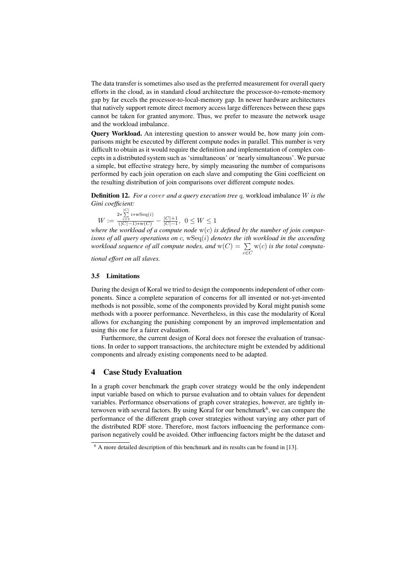The data transfer is sometimes also used as the preferred measurement for overall query efforts in the cloud, as in standard cloud architecture the processor-to-remote-memory gap by far excels the processor-to-local-memory gap. In newer hardware architectures that natively support remote direct memory access large differences between these gaps cannot be taken for granted anymore. Thus, we prefer to measure the network usage and the workload imbalance.

Query Workload. An interesting question to answer would be, how many join comparisons might be executed by different compute nodes in parallel. This number is very difficult to obtain as it would require the definition and implementation of complex concepts in a distributed system such as 'simultaneous' or 'nearly simultaneous'. We pursue a simple, but effective strategy here, by simply measuring the number of comparisons performed by each join operation on each slave and computing the Gini coefficient on the resulting distribution of join comparisons over different compute nodes.

Definition 12. *For a* cover *and a query execution tree* q*,* workload imbalance W *is the Gini coefficient:*

 $W :=$  $\frac{2*\sum\limits_{i=1}^{|C|} i* w \text{Seq}(i)}{(|C|-1)*w(C)} - \frac{|C|+1}{|C|-1}$  $\frac{|C|+1}{|C|-1}$ , 0 ≤ W ≤ 1

*where the workload of a compute node* w(c) *is defined by the number of join comparisons of all query operations on* c*,* wSeq(i) *denotes the* i*th workload in the ascending workload sequence of all compute nodes, and*  $w(C) = \sum$ c∈C w(c) *is the total computa-*

*tional effort on all slaves.*

#### 3.5 Limitations

During the design of Koral we tried to design the components independent of other components. Since a complete separation of concerns for all invented or not-yet-invented methods is not possible, some of the components provided by Koral might punish some methods with a poorer performance. Nevertheless, in this case the modularity of Koral allows for exchanging the punishing component by an improved implementation and using this one for a fairer evaluation.

Furthermore, the current design of Koral does not foresee the evaluation of transactions. In order to support transactions, the architecture might be extended by additional components and already existing components need to be adapted.

# 4 Case Study Evaluation

In a graph cover benchmark the graph cover strategy would be the only independent input variable based on which to pursue evaluation and to obtain values for dependent variables. Performance observations of graph cover strategies, however, are tightly interwoven with several factors. By using Koral for our benchmark<sup>6</sup>, we can compare the performance of the different graph cover strategies without varying any other part of the distributed RDF store. Therefore, most factors influencing the performance comparison negatively could be avoided. Other influencing factors might be the dataset and

 $6$  A more detailed description of this benchmark and its results can be found in [13].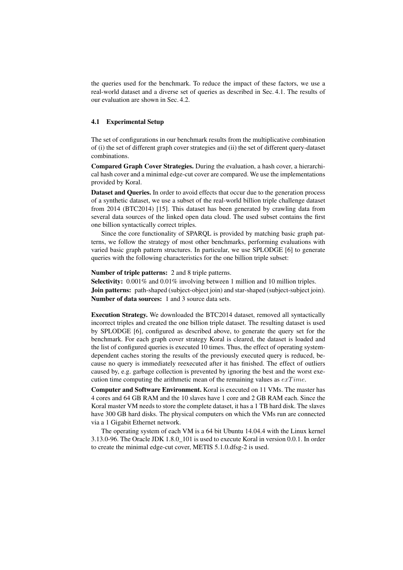the queries used for the benchmark. To reduce the impact of these factors, we use a real-world dataset and a diverse set of queries as described in Sec. 4.1. The results of our evaluation are shown in Sec. 4.2.

# 4.1 Experimental Setup

The set of configurations in our benchmark results from the multiplicative combination of (i) the set of different graph cover strategies and (ii) the set of different query-dataset combinations.

Compared Graph Cover Strategies. During the evaluation, a hash cover, a hierarchical hash cover and a minimal edge-cut cover are compared. We use the implementations provided by Koral.

Dataset and Queries. In order to avoid effects that occur due to the generation process of a synthetic dataset, we use a subset of the real-world billion triple challenge dataset from 2014 (BTC2014) [15]. This dataset has been generated by crawling data from several data sources of the linked open data cloud. The used subset contains the first one billion syntactically correct triples.

Since the core functionality of SPARQL is provided by matching basic graph patterns, we follow the strategy of most other benchmarks, performing evaluations with varied basic graph pattern structures. In particular, we use SPLODGE [6] to generate queries with the following characteristics for the one billion triple subset:

## Number of triple patterns: 2 and 8 triple patterns.

Selectivity:  $0.001\%$  and  $0.01\%$  involving between 1 million and 10 million triples. Join patterns: path-shaped (subject-object join) and star-shaped (subject-subject join). Number of data sources: 1 and 3 source data sets.

Execution Strategy. We downloaded the BTC2014 dataset, removed all syntactically incorrect triples and created the one billion triple dataset. The resulting dataset is used by SPLODGE [6], configured as described above, to generate the query set for the benchmark. For each graph cover strategy Koral is cleared, the dataset is loaded and the list of configured queries is executed 10 times. Thus, the effect of operating systemdependent caches storing the results of the previously executed query is reduced, because no query is immediately reexecuted after it has finished. The effect of outliers caused by, e.g. garbage collection is prevented by ignoring the best and the worst execution time computing the arithmetic mean of the remaining values as  $exTime$ .

Computer and Software Environment. Koral is executed on 11 VMs. The master has 4 cores and 64 GB RAM and the 10 slaves have 1 core and 2 GB RAM each. Since the Koral master VM needs to store the complete dataset, it has a 1 TB hard disk. The slaves have 300 GB hard disks. The physical computers on which the VMs run are connected via a 1 Gigabit Ethernet network.

The operating system of each VM is a 64 bit Ubuntu 14.04.4 with the Linux kernel 3.13.0-96. The Oracle JDK 1.8.0\_101 is used to execute Koral in version 0.0.1. In order to create the minimal edge-cut cover, METIS 5.1.0.dfsg-2 is used.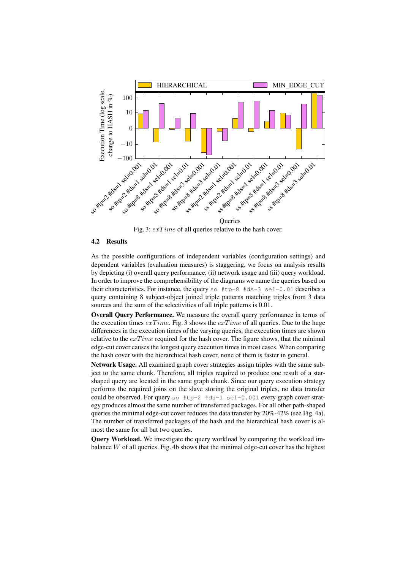

Fig. 3:  $exTime$  of all queries relative to the hash cover.

# 4.2 Results

As the possible configurations of independent variables (configuration settings) and dependent variables (evaluation measures) is staggering, we focus on analysis results by depicting (i) overall query performance, (ii) network usage and (iii) query workload. In order to improve the comprehensibility of the diagrams we name the queries based on their characteristics. For instance, the query so  $#tp=8$   $#ds=3$  sel=0.01 describes a query containing 8 subject-object joined triple patterns matching triples from 3 data sources and the sum of the selectivities of all triple patterns is 0.01.

Overall Query Performance. We measure the overall query performance in terms of the execution times  $exTime$ . Fig. 3 shows the  $exTime$  of all queries. Due to the huge differences in the execution times of the varying queries, the execution times are shown relative to the  $exTime$  required for the hash cover. The figure shows, that the minimal edge-cut cover causes the longest query execution times in most cases. When comparing the hash cover with the hierarchical hash cover, none of them is faster in general.

Network Usage. All examined graph cover strategies assign triples with the same subject to the same chunk. Therefore, all triples required to produce one result of a starshaped query are located in the same graph chunk. Since our query execution strategy performs the required joins on the slave storing the original triples, no data transfer could be observed. For query so  $\#tp=2$   $\#ds=1$  sel=0.001 every graph cover strategy produces almost the same number of transferred packages. For all other path-shaped queries the minimal edge-cut cover reduces the data transfer by  $20\% - 42\%$  (see Fig. 4a). The number of transferred packages of the hash and the hierarchical hash cover is almost the same for all but two queries.

Query Workload. We investigate the query workload by comparing the workload imbalance W of all queries. Fig. 4b shows that the minimal edge-cut cover has the highest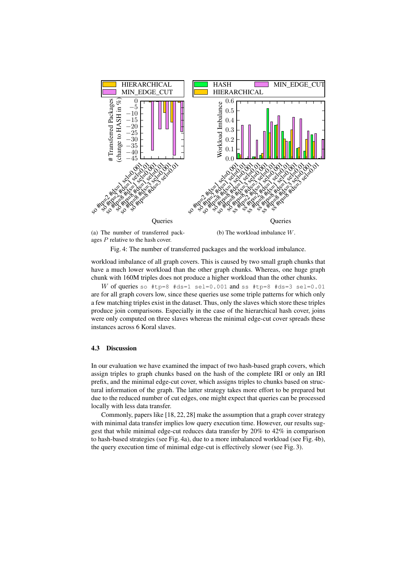

ages P relative to the hash cover.

Fig. 4: The number of transferred packages and the workload imbalance.

workload imbalance of all graph covers. This is caused by two small graph chunks that have a much lower workload than the other graph chunks. Whereas, one huge graph chunk with 160M triples does not produce a higher workload than the other chunks.

W of queries so #tp=8 #ds=1 sel=0.001 and ss #tp=8 #ds=3 sel=0.01 are for all graph covers low, since these queries use some triple patterns for which only a few matching triples exist in the dataset. Thus, only the slaves which store these triples produce join comparisons. Especially in the case of the hierarchical hash cover, joins were only computed on three slaves whereas the minimal edge-cut cover spreads these instances across 6 Koral slaves.

## 4.3 Discussion

In our evaluation we have examined the impact of two hash-based graph covers, which assign triples to graph chunks based on the hash of the complete IRI or only an IRI prefix, and the minimal edge-cut cover, which assigns triples to chunks based on structural information of the graph. The latter strategy takes more effort to be prepared but due to the reduced number of cut edges, one might expect that queries can be processed locally with less data transfer.

Commonly, papers like [18, 22, 28] make the assumption that a graph cover strategy with minimal data transfer implies low query execution time. However, our results suggest that while minimal edge-cut reduces data transfer by 20% to 42% in comparison to hash-based strategies (see Fig. 4a), due to a more imbalanced workload (see Fig. 4b), the query execution time of minimal edge-cut is effectively slower (see Fig. 3).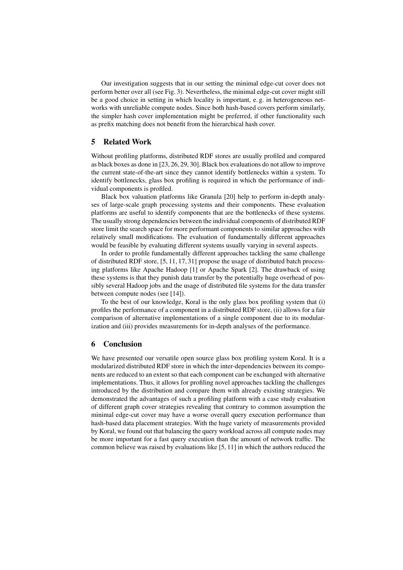Our investigation suggests that in our setting the minimal edge-cut cover does not perform better over all (see Fig. 3). Nevertheless, the minimal edge-cut cover might still be a good choice in setting in which locality is important, e. g. in heterogeneous networks with unreliable compute nodes. Since both hash-based covers perform similarly, the simpler hash cover implementation might be preferred, if other functionality such as prefix matching does not benefit from the hierarchical hash cover.

# 5 Related Work

Without profiling platforms, distributed RDF stores are usually profiled and compared as black boxes as done in [23, 26, 29, 30]. Black box evaluations do not allow to improve the current state-of-the-art since they cannot identify bottlenecks within a system. To identify bottlenecks, glass box profiling is required in which the performance of individual components is profiled.

Black box valuation platforms like Granula [20] help to perform in-depth analyses of large-scale graph processing systems and their components. These evaluation platforms are useful to identify components that are the bottlenecks of these systems. The usually strong dependencies between the individual components of distributed RDF store limit the search space for more performant components to similar approaches with relatively small modifications. The evaluation of fundamentally different approaches would be feasible by evaluating different systems usually varying in several aspects.

In order to profile fundamentally different approaches tackling the same challenge of distributed RDF store, [5, 11, 17, 31] propose the usage of distributed batch processing platforms like Apache Hadoop [1] or Apache Spark [2]. The drawback of using these systems is that they punish data transfer by the potentially huge overhead of possibly several Hadoop jobs and the usage of distributed file systems for the data transfer between compute nodes (see [14]).

To the best of our knowledge, Koral is the only glass box profiling system that (i) profiles the performance of a component in a distributed RDF store, (ii) allows for a fair comparison of alternative implementations of a single component due to its modularization and (iii) provides measurements for in-depth analyses of the performance.

## 6 Conclusion

We have presented our versatile open source glass box profiling system Koral. It is a modularized distributed RDF store in which the inter-dependencies between its components are reduced to an extent so that each component can be exchanged with alternative implementations. Thus, it allows for profiling novel approaches tackling the challenges introduced by the distribution and compare them with already existing strategies. We demonstrated the advantages of such a profiling platform with a case study evaluation of different graph cover strategies revealing that contrary to common assumption the minimal edge-cut cover may have a worse overall query execution performance than hash-based data placement strategies. With the huge variety of measurements provided by Koral, we found out that balancing the query workload across all compute nodes may be more important for a fast query execution than the amount of network traffic. The common believe was raised by evaluations like [5, 11] in which the authors reduced the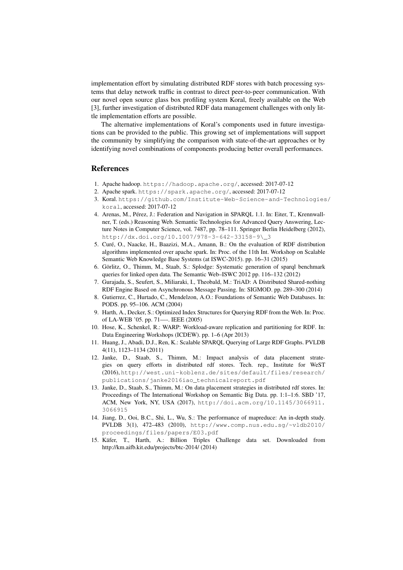implementation effort by simulating distributed RDF stores with batch processing systems that delay network traffic in contrast to direct peer-to-peer communication. With our novel open source glass box profiling system Koral, freely available on the Web [3], further investigation of distributed RDF data management challenges with only little implementation efforts are possible.

The alternative implementations of Koral's components used in future investigations can be provided to the public. This growing set of implementations will support the community by simplifying the comparison with state-of-the-art approaches or by identifying novel combinations of components producing better overall performances.

## References

- 1. Apache hadoop. https://hadoop.apache.org/, accessed: 2017-07-12
- 2. Apache spark. https://spark.apache.org/, accessed: 2017-07-12
- 3. Koral. https://github.com/Institute-Web-Science-and-Technologies/ koral, accessed: 2017-07-12
- 4. Arenas, M., Pérez, J.: Federation and Navigation in SPARQL 1.1. In: Eiter, T., Krennwallner, T. (eds.) Reasoning Web. Semantic Technologies for Advanced Query Answering, Lecture Notes in Computer Science, vol. 7487, pp. 78–111. Springer Berlin Heidelberg (2012), http://dx.doi.org/10.1007/978-3-642-33158-9\\_3
- 5. Curé, O., Naacke, H., Baazizi, M.A., Amann, B.: On the evaluation of RDF distribution algorithms implemented over apache spark. In: Proc. of the 11th Int. Workshop on Scalable Semantic Web Knowledge Base Systems (at ISWC-2015). pp. 16–31 (2015)
- 6. Görlitz, O., Thimm, M., Staab, S.: Splodge: Systematic generation of sparql benchmark queries for linked open data. The Semantic Web–ISWC 2012 pp. 116–132 (2012)
- 7. Gurajada, S., Seufert, S., Miliaraki, I., Theobald, M.: TriAD: A Distributed Shared-nothing RDF Engine Based on Asynchronous Message Passing. In: SIGMOD. pp. 289–300 (2014)
- 8. Gutierrez, C., Hurtado, C., Mendelzon, A.O.: Foundations of Semantic Web Databases. In: PODS. pp. 95–106. ACM (2004)
- 9. Harth, A., Decker, S.: Optimized Index Structures for Querying RDF from the Web. In: Proc. of LA-WEB '05. pp. 71—-. IEEE (2005)
- 10. Hose, K., Schenkel, R.: WARP: Workload-aware replication and partitioning for RDF. In: Data Engineering Workshops (ICDEW). pp. 1–6 (Apr 2013)
- 11. Huang, J., Abadi, D.J., Ren, K.: Scalable SPARQL Querying of Large RDF Graphs. PVLDB 4(11), 1123–1134 (2011)
- 12. Janke, D., Staab, S., Thimm, M.: Impact analysis of data placement strategies on query efforts in distributed rdf stores. Tech. rep., Institute for WeST (2016), http://west.uni-koblenz.de/sites/default/files/research/ publications/janke2016iao\_technicalreport.pdf
- 13. Janke, D., Staab, S., Thimm, M.: On data placement strategies in distributed rdf stores. In: Proceedings of The International Workshop on Semantic Big Data. pp. 1:1–1:6. SBD '17, ACM, New York, NY, USA (2017), http://doi.acm.org/10.1145/3066911. 3066915
- 14. Jiang, D., Ooi, B.C., Shi, L., Wu, S.: The performance of mapreduce: An in-depth study. PVLDB 3(1), 472–483 (2010), http://www.comp.nus.edu.sg/~vldb2010/ proceedings/files/papers/E03.pdf
- 15. Käfer, T., Harth, A.: Billion Triples Challenge data set. Downloaded from http://km.aifb.kit.edu/projects/btc-2014/ (2014)